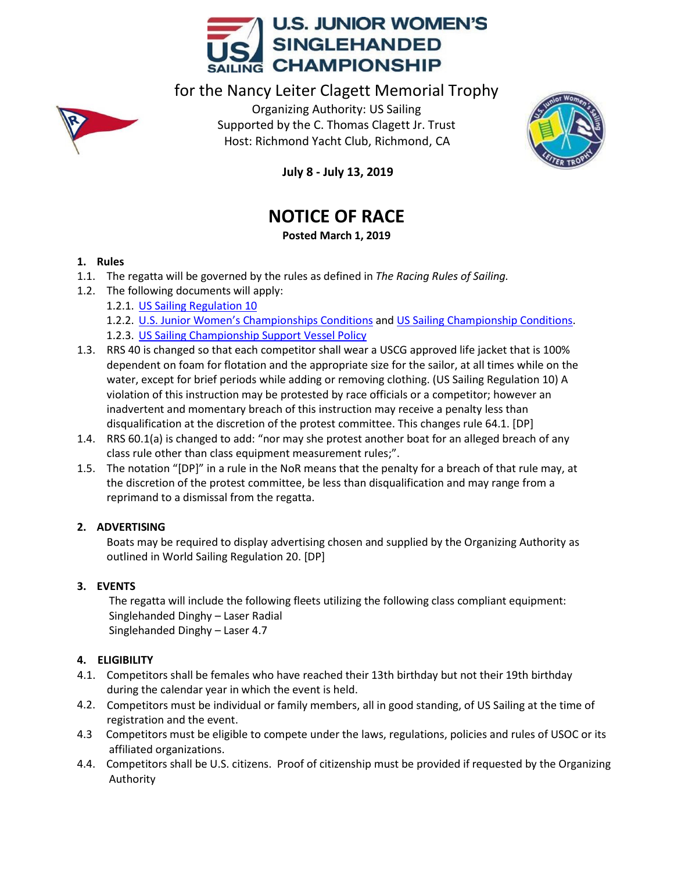

for the Nancy Leiter Clagett Memorial Trophy



Organizing Authority: US Sailing Supported by the C. Thomas Clagett Jr. Trust Host: Richmond Yacht Club, Richmond, CA



**July 8 - July 13, 2019**

# **NOTICE OF RACE**

# **Posted March 1, 2019**

# **1. Rules**

- 1.1. The regatta will be governed by the rules as defined in *The Racing Rules of Sailing.*
- 1.2. The following documents will apply:
	- 1.2.1. [US Sailing Regulation 10](https://www.ussailing.org/competition/resources/hosting-a-us-sailing-championship/regulation-10/)
	- 1.2.2. U.S. Junior Women's [Championships](https://www.ussailing.org/wp-content/uploads/2018/01/US-Jr-Womens-Conditions.pdf) Conditions an[d US Sailing Championship](https://www.ussailing.org/competition/resources/championship-conditions/) Conditions.
	- 1.2.3. [US Sailing Championship Support](https://www.ussailing.org/competition/resources/coaching-and-support-boat-policy/) Vessel Policy
- 1.3. RRS 40 is changed so that each competitor shall wear a USCG approved life jacket that is 100% dependent on foam for flotation and the appropriate size for the sailor, at all times while on the water, except for brief periods while adding or removing clothing. (US Sailing Regulation 10) A violation of this instruction may be protested by race officials or a competitor; however an inadvertent and momentary breach of this instruction may receive a penalty less than disqualification at the discretion of the protest committee. This changes rule 64.1. [DP]
- 1.4. RRS 60.1(a) is changed to add: "nor may she protest another boat for an alleged breach of any class rule other than class equipment measurement rules;".
- 1.5. The notation "[DP]" in a rule in the NoR means that the penalty for a breach of that rule may, at the discretion of the protest committee, be less than disqualification and may range from a reprimand to a dismissal from the regatta.

# **2. ADVERTISING**

Boats may be required to display advertising chosen and supplied by the Organizing Authority as outlined in World Sailing Regulation 20. [DP]

# **3. EVENTS**

The regatta will include the following fleets utilizing the following class compliant equipment: Singlehanded Dinghy – Laser Radial Singlehanded Dinghy – Laser 4.7

# **4. ELIGIBILITY**

- 4.1. Competitors shall be females who have reached their 13th birthday but not their 19th birthday during the calendar year in which the event is held.
- 4.2. Competitors must be individual or family members, all in good standing, of US Sailing at the time of registration and the event.
- 4.3 Competitors must be eligible to compete under the laws, regulations, policies and rules of USOC or its affiliated organizations.
- 4.4. Competitors shall be U.S. citizens. Proof of citizenship must be provided if requested by the Organizing Authority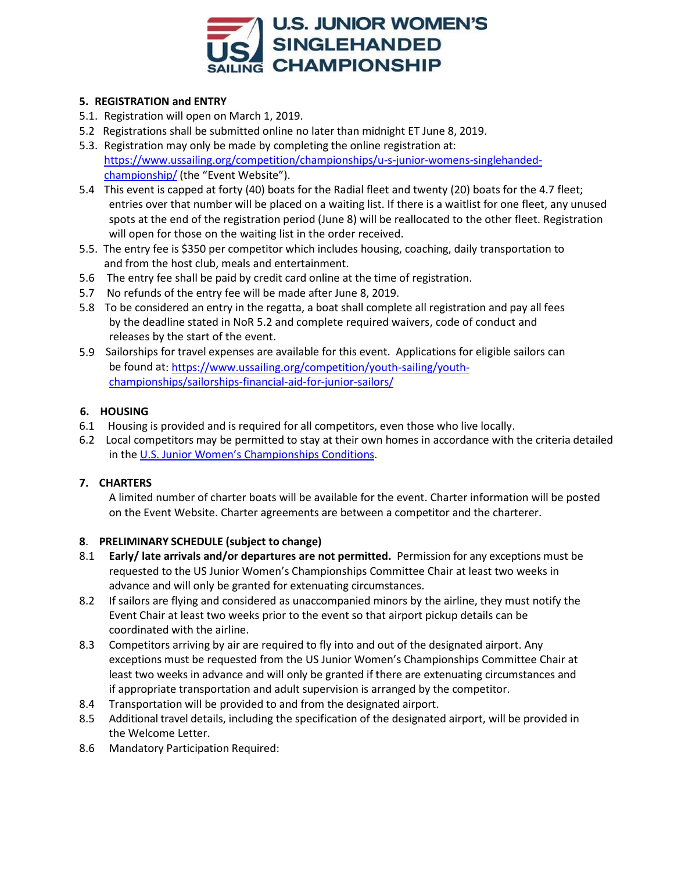

#### **5. REGISTRATION and ENTRY**

- 5.1. Registration will open on March 1, 2019.
- 5.2 Registrations shall be submitted online no later than midnight ET June 8, 2019.
- 5.3. Registration may only be made by completing the online registration at: [https://www.ussailing.org/competition/championships/u-s-junior-womens-singlehanded](http://www.ussailing.org/racing/championships/youth/jrwomenssinglehanded/)[championship/](http://www.ussailing.org/racing/championships/youth/jrwomenssinglehanded/) (the "Event Website").
- 5.4 This event is capped at forty (40) boats for the Radial fleet and twenty (20) boats for the 4.7 fleet; entries over that number will be placed on a waiting list. If there is a waitlist for one fleet, any unused spots at the end of the registration period (June 8) will be reallocated to the other fleet. Registration will open for those on the waiting list in the order received.
- 5.5. The entry fee is \$350 per competitor which includes housing, coaching, daily transportation to and from the host club, meals and entertainment.
- 5.6 The entry fee shall be paid by credit card online at the time of registration.
- 5.7 No refunds of the entry fee will be made after June 8, 2019.
- 5.8 To be considered an entry in the regatta, a boat shall complete all registration and pay all fees by the deadline stated in NoR 5.2 and complete required waivers, code of conduct and releases by the start of the event.
- 5.9 Sailorships for travel expenses are available for this event. Applications for eligible sailors can be found at: [https://www.ussailing.org/competition/youth-sailing/youth](https://www.ussailing.org/competition/youth-sailing/youth-championships/sailorships-financial-aid-for-junior-sailors/)[championships/sailorships-financial-aid-for-junior-sailors/](https://www.ussailing.org/competition/youth-sailing/youth-championships/sailorships-financial-aid-for-junior-sailors/)

#### **6. HOUSING**

- 6.1 Housing is provided and is required for all competitors, even those who live locally.
- 6.2 Local competitors may be permitted to stay at their own homes in accordance with the criteria detailed in the U.S. Junior Women's [Championships Conditions.](https://www.ussailing.org/wp-content/uploads/2018/01/US-Jr-Womens-Conditions.pdf)

## **7. CHARTERS**

A limited number of charter boats will be available for the event. Charter information will be posted on the Event Website. Charter agreements are between a competitor and the charterer.

#### **8**. **PRELIMINARY SCHEDULE (subject to change)**

- 8.1 **Early/ late arrivals and/or departures are not permitted.** Permission for any exceptions must be requested to the US Junior Women's Championships Committee Chair at least two weeks in advance and will only be granted for extenuating circumstances.
- 8.2 If sailors are flying and considered as unaccompanied minors by the airline, they must notify the Event Chair at least two weeks prior to the event so that airport pickup details can be coordinated with the airline.
- 8.3 Competitors arriving by air are required to fly into and out of the designated airport. Any exceptions must be requested from the US Junior Women's Championships Committee Chair at least two weeks in advance and will only be granted if there are extenuating circumstances and if appropriate transportation and adult supervision is arranged by the competitor.
- 8.4 Transportation will be provided to and from the designated airport.
- 8.5 Additional travel details, including the specification of the designated airport, will be provided in the Welcome Letter.
- 8.6 Mandatory Participation Required: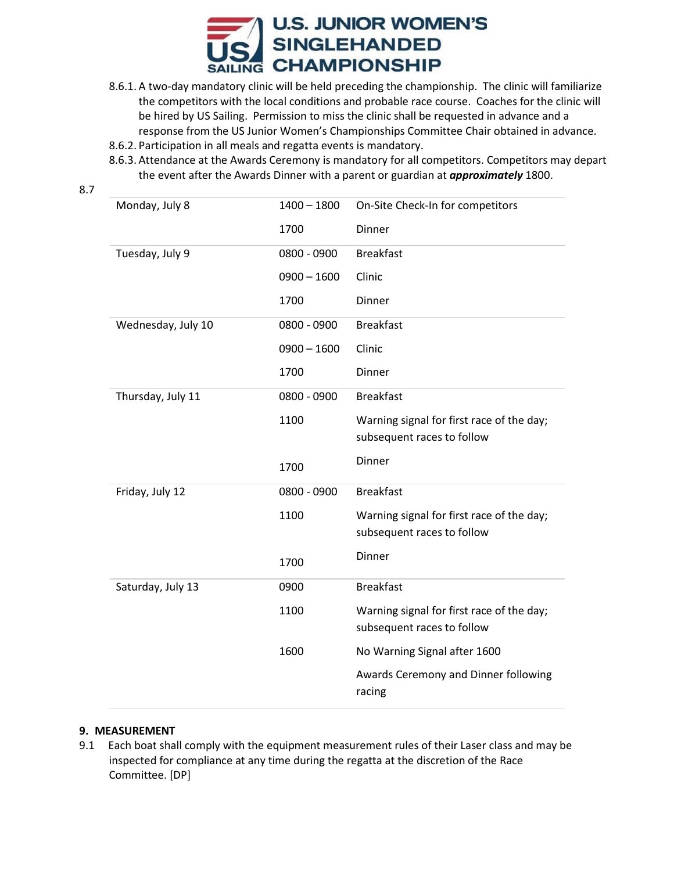

- 8.6.1. A two-day mandatory clinic will be held preceding the championship. The clinic will familiarize the competitors with the local conditions and probable race course. Coaches for the clinic will be hired by US Sailing. Permission to miss the clinic shall be requested in advance and a response from the US Junior Women's Championships Committee Chair obtained in advance.
- 8.6.2. Participation in all meals and regatta events is mandatory.
- 8.6.3. Attendance at the Awards Ceremony is mandatory for all competitors. Competitors may depart the event after the Awards Dinner with a parent or guardian at *approximately* 1800.

| Monday, July 8     | $1400 - 1800$ | On-Site Check-In for competitors                                        |
|--------------------|---------------|-------------------------------------------------------------------------|
|                    | 1700          | Dinner                                                                  |
| Tuesday, July 9    | 0800 - 0900   | <b>Breakfast</b>                                                        |
|                    | $0900 - 1600$ | Clinic                                                                  |
|                    | 1700          | Dinner                                                                  |
| Wednesday, July 10 | 0800 - 0900   | <b>Breakfast</b>                                                        |
|                    | $0900 - 1600$ | Clinic                                                                  |
|                    | 1700          | Dinner                                                                  |
| Thursday, July 11  | 0800 - 0900   | <b>Breakfast</b>                                                        |
|                    | 1100          | Warning signal for first race of the day;                               |
|                    |               | subsequent races to follow                                              |
|                    | 1700          | Dinner                                                                  |
| Friday, July 12    | 0800 - 0900   | <b>Breakfast</b>                                                        |
|                    | 1100          | Warning signal for first race of the day;<br>subsequent races to follow |
|                    | 1700          | Dinner                                                                  |
| Saturday, July 13  | 0900          | <b>Breakfast</b>                                                        |
|                    | 1100          | Warning signal for first race of the day;<br>subsequent races to follow |
|                    | 1600          | No Warning Signal after 1600                                            |
|                    |               | Awards Ceremony and Dinner following<br>racing                          |

#### **9. MEASUREMENT**

9.1 Each boat shall comply with the equipment measurement rules of their Laser class and may be inspected for compliance at any time during the regatta at the discretion of the Race Committee. [DP]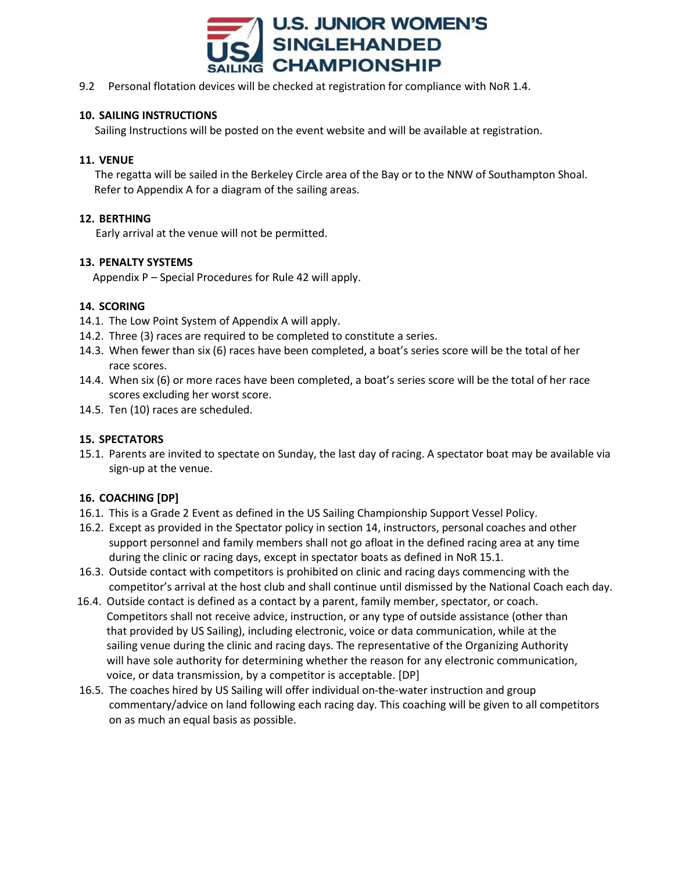

9.2 Personal flotation devices will be checked at registration for compliance with NoR 1.4.

#### **10. SAILING INSTRUCTIONS**

Sailing Instructions will be posted on the event website and will be available at registration.

#### **11. VENUE**

 The regatta will be sailed in the Berkeley Circle area of the Bay or to the NNW of Southampton Shoal. Refer to Appendix A for a diagram of the sailing areas.

#### **12. BERTHING**

Early arrival at the venue will not be permitted.

#### **13. PENALTY SYSTEMS**

Appendix P – Special Procedures for Rule 42 will apply.

## **14. SCORING**

- 14.1. The Low Point System of Appendix A will apply.
- 14.2. Three (3) races are required to be completed to constitute a series.
- 14.3. When fewer than six (6) races have been completed, a boat's series score will be the total of her race scores.
- 14.4. When six (6) or more races have been completed, a boat's series score will be the total of her race scores excluding her worst score.
- 14.5. Ten (10) races are scheduled.

## **15. SPECTATORS**

15.1. Parents are invited to spectate on Sunday, the last day of racing. A spectator boat may be available via sign-up at the venue.

## **16. COACHING [DP]**

- 16.1. This is a Grade 2 Event as defined in the US Sailing Championship Support Vessel Policy.
- 16.2. Except as provided in the Spectator policy in section 14, instructors, personal coaches and other support personnel and family members shall not go afloat in the defined racing area at any time during the clinic or racing days, except in spectator boats as defined in NoR 15.1.
- 16.3. Outside contact with competitors is prohibited on clinic and racing days commencing with the competitor's arrival at the host club and shall continue until dismissed by the National Coach each day.
- 16.4. Outside contact is defined as a contact by a parent, family member, spectator, or coach. Competitors shall not receive advice, instruction, or any type of outside assistance (other than that provided by US Sailing), including electronic, voice or data communication, while at the sailing venue during the clinic and racing days. The representative of the Organizing Authority will have sole authority for determining whether the reason for any electronic communication, voice, or data transmission, by a competitor is acceptable. [DP]
- 16.5. The coaches hired by US Sailing will offer individual on-the-water instruction and group commentary/advice on land following each racing day. This coaching will be given to all competitors on as much an equal basis as possible.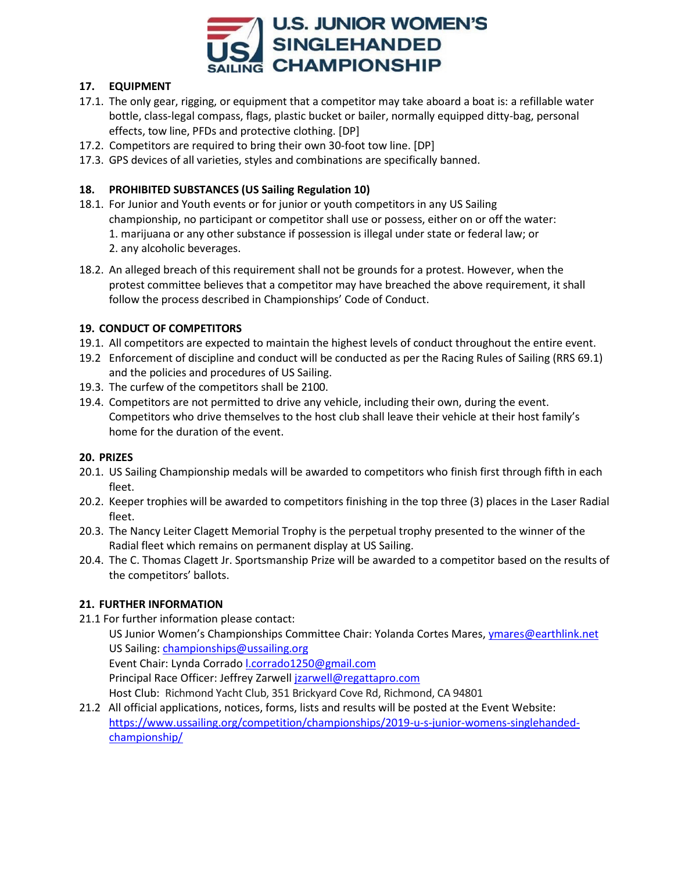

## **17. EQUIPMENT**

- 17.1. The only gear, rigging, or equipment that a competitor may take aboard a boat is: a refillable water bottle, class-legal compass, flags, plastic bucket or bailer, normally equipped ditty-bag, personal effects, tow line, PFDs and protective clothing. [DP]
- 17.2. Competitors are required to bring their own 30-foot tow line. [DP]
- 17.3. GPS devices of all varieties, styles and combinations are specifically banned.

# **18. PROHIBITED SUBSTANCES (US Sailing Regulation 10)**

- 18.1. For Junior and Youth events or for junior or youth competitors in any US Sailing championship, no participant or competitor shall use or possess, either on or off the water: 1. marijuana or any other substance if possession is illegal under state or federal law; or 2. any alcoholic beverages.
- 18.2. An alleged breach of this requirement shall not be grounds for a protest. However, when the protest committee believes that a competitor may have breached the above requirement, it shall follow the process described in Championships' Code of Conduct.

## **19. CONDUCT OF COMPETITORS**

- 19.1. All competitors are expected to maintain the highest levels of conduct throughout the entire event.
- 19.2 Enforcement of discipline and conduct will be conducted as per the Racing Rules of Sailing (RRS 69.1) and the policies and procedures of US Sailing.
- 19.3. The curfew of the competitors shall be 2100.
- 19.4. Competitors are not permitted to drive any vehicle, including their own, during the event. Competitors who drive themselves to the host club shall leave their vehicle at their host family's home for the duration of the event.

## **20. PRIZES**

- 20.1. US Sailing Championship medals will be awarded to competitors who finish first through fifth in each fleet.
- 20.2. Keeper trophies will be awarded to competitors finishing in the top three (3) places in the Laser Radial fleet.
- 20.3. The Nancy Leiter Clagett Memorial Trophy is the perpetual trophy presented to the winner of the Radial fleet which remains on permanent display at US Sailing.
- 20.4. The C. Thomas Clagett Jr. Sportsmanship Prize will be awarded to a competitor based on the results of the competitors' ballots.

## **21. FURTHER INFORMATION**

21.1 For further information please contact:

US Junior Women's Championships Committee Chair: Yolanda Cortes Mares, [ymares@earthlink.net](mailto:ymares@earthlink.net) US Sailing: [championships@ussailing.org](mailto:championships@ussailing.org)

Event Chair: Lynda Corrado *Lcorrado1250@gmail.com* 

Principal Race Officer: Jeffrey Zarwell [jzarwell@regattapro.com](mailto:jzarwell@regattapro.com)

Host Club: Richmond Yacht Club, 351 Brickyard Cove Rd, Richmond, CA 94801

21.2 All official applications, notices, forms, lists and results will be posted at the Event Website: [https://www.ussailing.org/competition/championships/2019-u-s-junior-womens-singlehanded](https://www.ussailing.org/competition/championships/2019-u-s-junior-womens-singlehanded-championship/)[championship/](https://www.ussailing.org/competition/championships/2019-u-s-junior-womens-singlehanded-championship/)